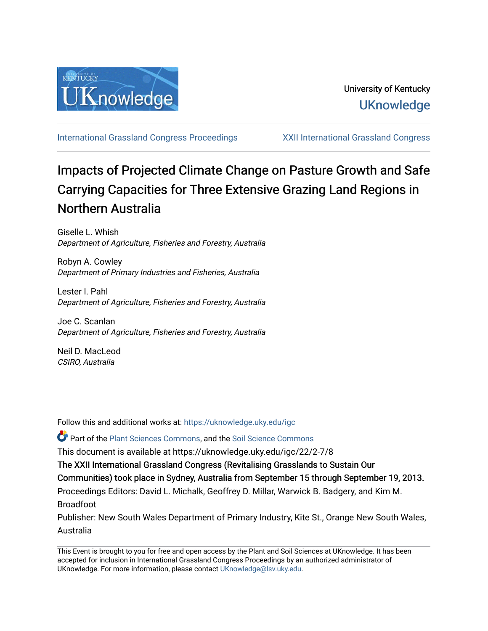

[International Grassland Congress Proceedings](https://uknowledge.uky.edu/igc) [XXII International Grassland Congress](https://uknowledge.uky.edu/igc/22) 

# Impacts of Projected Climate Change on Pasture Growth and Safe Carrying Capacities for Three Extensive Grazing Land Regions in Northern Australia

Giselle L. Whish Department of Agriculture, Fisheries and Forestry, Australia

Robyn A. Cowley Department of Primary Industries and Fisheries, Australia

Lester I. Pahl Department of Agriculture, Fisheries and Forestry, Australia

Joe C. Scanlan Department of Agriculture, Fisheries and Forestry, Australia

Neil D. MacLeod CSIRO, Australia

Follow this and additional works at: [https://uknowledge.uky.edu/igc](https://uknowledge.uky.edu/igc?utm_source=uknowledge.uky.edu%2Figc%2F22%2F2-7%2F8&utm_medium=PDF&utm_campaign=PDFCoverPages) 

**P** Part of the [Plant Sciences Commons](http://network.bepress.com/hgg/discipline/102?utm_source=uknowledge.uky.edu%2Figc%2F22%2F2-7%2F8&utm_medium=PDF&utm_campaign=PDFCoverPages), and the Soil Science Commons

This document is available at https://uknowledge.uky.edu/igc/22/2-7/8

The XXII International Grassland Congress (Revitalising Grasslands to Sustain Our

Communities) took place in Sydney, Australia from September 15 through September 19, 2013.

Proceedings Editors: David L. Michalk, Geoffrey D. Millar, Warwick B. Badgery, and Kim M. Broadfoot

Publisher: New South Wales Department of Primary Industry, Kite St., Orange New South Wales, Australia

This Event is brought to you for free and open access by the Plant and Soil Sciences at UKnowledge. It has been accepted for inclusion in International Grassland Congress Proceedings by an authorized administrator of UKnowledge. For more information, please contact [UKnowledge@lsv.uky.edu](mailto:UKnowledge@lsv.uky.edu).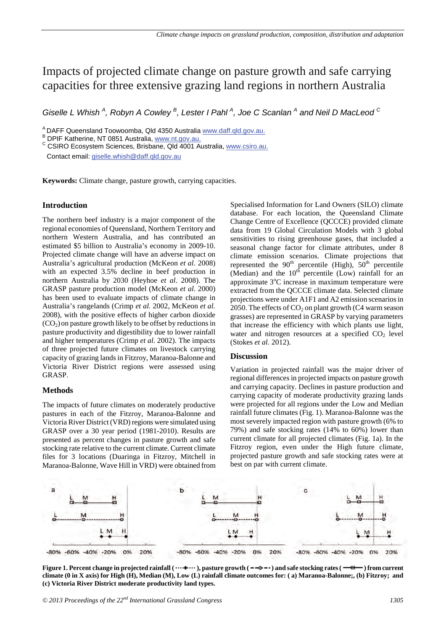# Impacts of projected climate change on pasture growth and safe carrying capacities for three extensive grazing land regions in northern Australia

*Giselle L Whish*<sup>4</sup>, Robyn A Cowley<sup>B</sup>, Lester I Pahl<sup>A</sup>, Joe C Scanlan<sup>A</sup> and Neil D MacLeod<sup>C</sup>

A DAFF Queensland Toowoomba, Qld 4350 Australia www.daff.qld.gov.au.

B DPIF Katherine, NT 0851 Australia, www.nt.gov.au.

<sup>C</sup> CSIRO Ecosystem Sciences, Brisbane, Qld 4001 Australia, www.csiro.au.

Contact email: giselle.whish@daff.qld.gov.au

**Keywords:** Climate change, pasture growth, carrying capacities.

## **Introduction**

The northern beef industry is a major component of the regional economies of Queensland, Northern Territory and northern Western Australia, and has contributed an estimated \$5 billion to Australia's economy in 2009-10. Projected climate change will have an adverse impact on Australia's agricultural production (McKeon *et al*. 2008) with an expected 3.5% decline in beef production in northern Australia by 2030 (Heyhoe *et al*. 2008). The GRASP pasture production model (McKeon *et al*. 2000) has been used to evaluate impacts of climate change in Australia's rangelands (Crimp *et al.* 2002, McKeon *et al.* 2008), with the positive effects of higher carbon dioxide  $(CO<sub>2</sub>)$  on pasture growth likely to be offset by reductions in pasture productivity and digestibility due to lower rainfall and higher temperatures (Crimp *et al*. 2002). The impacts of three projected future climates on livestock carrying capacity of grazing lands in Fitzroy, Maranoa-Balonne and Victoria River District regions were assessed using GRASP.

#### **Methods**

The impacts of future climates on moderately productive pastures in each of the Fitzroy, Maranoa-Balonne and Victoria River District (VRD) regions were simulated using GRASP over a 30 year period (1981-2010). Results are presented as percent changes in pasture growth and safe stocking rate relative to the current climate. Current climate files for 3 locations (Duaringa in Fitzroy, Mitchell in Maranoa-Balonne, Wave Hill in VRD) were obtained from Specialised Information for Land Owners (SILO) climate database. For each location, the Queensland Climate Change Centre of Excellence (QCCCE) provided climate data from 19 Global Circulation Models with 3 global sensitivities to rising greenhouse gases, that included a seasonal change factor for climate attributes, under 8 climate emission scenarios. Climate projections that represented the 90<sup>th</sup> percentile (High),  $50<sup>th</sup>$  percentile (Median) and the  $10^{th}$  percentile (Low) rainfall for an approximate 3°C increase in maximum temperature were extracted from the QCCCE climate data. Selected climate projections were under A1F1 and A2 emission scenarios in 2050. The effects of  $CO<sub>2</sub>$  on plant growth (C4 warm season grasses) are represented in GRASP by varying parameters that increase the efficiency with which plants use light, water and nitrogen resources at a specified  $CO<sub>2</sub>$  level (Stokes *et al*. 2012).

## **Discussion**

Variation in projected rainfall was the major driver of regional differences in projected impacts on pasture growth and carrying capacity. Declines in pasture production and carrying capacity of moderate productivity grazing lands were projected for all regions under the Low and Median rainfall future climates (Fig. 1). Maranoa-Balonne was the most severely impacted region with pasture growth (6% to 79%) and safe stocking rates (14% to 60%) lower than current climate for all projected climates (Fig. 1a). In the Fitzroy region, even under the High future climate, projected pasture growth and safe stocking rates were at best on par with current climate.



**Figure 1. Percent change in projected rainfall (** $\cdots$ **+** $\cdots$ ), pasture growth ( $\cdots$ **+** $\cdots$ ) and safe stocking rates ( $\cdots$ **=** $\cdots$ ) from current **climate (0 in X axis) for High (H), Median (M), Low (L) rainfall climate outcomes for: ( a) Maranoa-Balonne;, (b) Fitzroy; and (c) Victoria River District moderate productivity land types.**